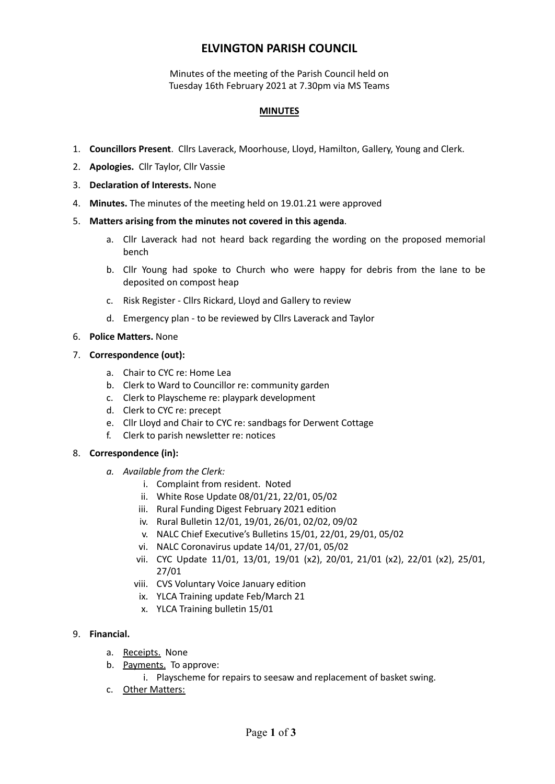# **ELVINGTON PARISH COUNCIL**

Minutes of the meeting of the Parish Council held on Tuesday 16th February 2021 at 7.30pm via MS Teams

### **MINUTES**

- 1. **Councillors Present**. Cllrs Laverack, Moorhouse, Lloyd, Hamilton, Gallery, Young and Clerk.
- 2. **Apologies.** Cllr Taylor, Cllr Vassie
- 3. **Declaration of Interests.** None
- 4. **Minutes.** The minutes of the meeting held on 19.01.21 were approved
- 5. **Matters arising from the minutes not covered in this agenda**.
	- a. Cllr Laverack had not heard back regarding the wording on the proposed memorial bench
	- b. Cllr Young had spoke to Church who were happy for debris from the lane to be deposited on compost heap
	- c. Risk Register Cllrs Rickard, Lloyd and Gallery to review
	- d. Emergency plan to be reviewed by Cllrs Laverack and Taylor
- 6. **Police Matters.** None
- 7. **Correspondence (out):**
	- a. Chair to CYC re: Home Lea
	- b. Clerk to Ward to Councillor re: community garden
	- c. Clerk to Playscheme re: playpark development
	- d. Clerk to CYC re: precept
	- e. Cllr Lloyd and Chair to CYC re: sandbags for Derwent Cottage
	- f. Clerk to parish newsletter re: notices

#### 8. **Correspondence (in):**

- *a. Available from the Clerk:*
	- i. Complaint from resident. Noted
	- ii. White Rose Update 08/01/21, 22/01, 05/02
	- iii. Rural Funding Digest February 2021 edition
	- iv. Rural Bulletin 12/01, 19/01, 26/01, 02/02, 09/02
	- v. NALC Chief Executive's Bulletins 15/01, 22/01, 29/01, 05/02
	- vi. NALC Coronavirus update 14/01, 27/01, 05/02
	- vii. CYC Update 11/01, 13/01, 19/01 (x2), 20/01, 21/01 (x2), 22/01 (x2), 25/01, 27/01
	- viii. CVS Voluntary Voice January edition
	- ix. YLCA Training update Feb/March 21
	- x. YLCA Training bulletin 15/01

### 9. **Financial.**

- a. Receipts. None
- b. Payments. To approve:
	- i. Playscheme for repairs to seesaw and replacement of basket swing.
- c. Other Matters: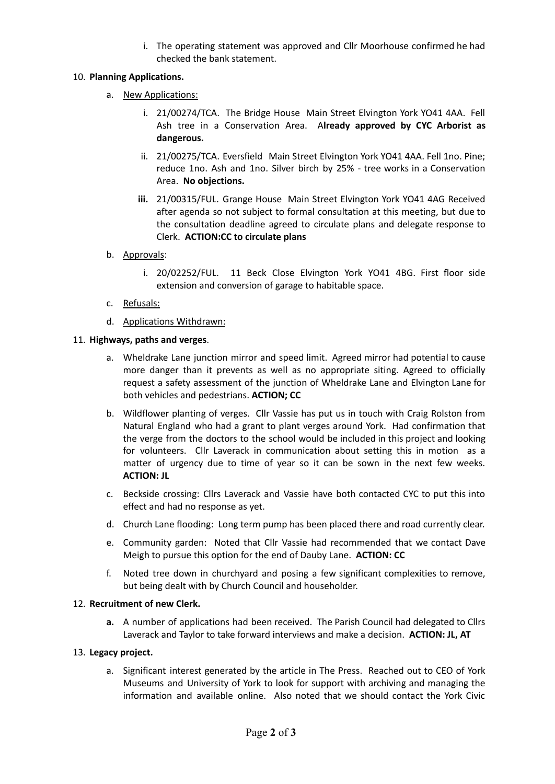i. The operating statement was approved and Cllr Moorhouse confirmed he had checked the bank statement.

# 10. **Planning Applications.**

- a. New Applications:
	- i. 21/00274/TCA. The Bridge House Main Street Elvington York YO41 4AA. Fell Ash tree in a Conservation Area. A**lready approved by CYC Arborist as dangerous.**
	- ii. 21/00275/TCA. Eversfield Main Street Elvington York YO41 4AA. Fell 1no. Pine; reduce 1no. Ash and 1no. Silver birch by 25% - tree works in a Conservation Area. **No objections.**
	- **iii.** 21/00315/FUL. Grange House Main Street Elvington York YO41 4AG Received after agenda so not subject to formal consultation at this meeting, but due to the consultation deadline agreed to circulate plans and delegate response to Clerk. **ACTION:CC to circulate plans**

# b. Approvals:

- i. 20/02252/FUL. 11 Beck Close Elvington York YO41 4BG. First floor side extension and conversion of garage to habitable space.
- c. Refusals:
- d. Applications Withdrawn:

## 11. **Highways, paths and verges**.

- a. Wheldrake Lane junction mirror and speed limit. Agreed mirror had potential to cause more danger than it prevents as well as no appropriate siting. Agreed to officially request a safety assessment of the junction of Wheldrake Lane and Elvington Lane for both vehicles and pedestrians. **ACTION; CC**
- b. Wildflower planting of verges. Cllr Vassie has put us in touch with Craig Rolston from Natural England who had a grant to plant verges around York. Had confirmation that the verge from the doctors to the school would be included in this project and looking for volunteers. Cllr Laverack in communication about setting this in motion as a matter of urgency due to time of year so it can be sown in the next few weeks. **ACTION: JL**
- c. Beckside crossing: Cllrs Laverack and Vassie have both contacted CYC to put this into effect and had no response as yet.
- d. Church Lane flooding: Long term pump has been placed there and road currently clear.
- e. Community garden: Noted that Cllr Vassie had recommended that we contact Dave Meigh to pursue this option for the end of Dauby Lane. **ACTION: CC**
- f. Noted tree down in churchyard and posing a few significant complexities to remove, but being dealt with by Church Council and householder.

#### 12. **Recruitment of new Clerk.**

**a.** A number of applications had been received. The Parish Council had delegated to Cllrs Laverack and Taylor to take forward interviews and make a decision. **ACTION: JL, AT**

# 13. **Legacy project.**

a. Significant interest generated by the article in The Press. Reached out to CEO of York Museums and University of York to look for support with archiving and managing the information and available online. Also noted that we should contact the York Civic